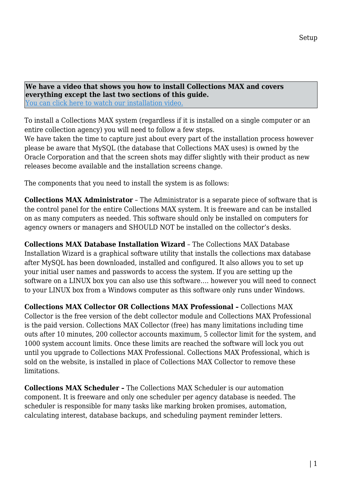**We have a video that shows you how to install Collections MAX and covers everything except the last two sections of this guide.** [You can click here to watch our installation video.](https://youtu.be/ucNRQ1oKuM8)

To install a Collections MAX system (regardless if it is installed on a single computer or an entire collection agency) you will need to follow a few steps.

We have taken the time to capture just about every part of the installation process however please be aware that MySQL (the database that Collections MAX uses) is owned by the Oracle Corporation and that the screen shots may differ slightly with their product as new releases become available and the installation screens change.

The components that you need to install the system is as follows:

**Collections MAX Administrator** – The Administrator is a separate piece of software that is the control panel for the entire Collections MAX system. It is freeware and can be installed on as many computers as needed. This software should only be installed on computers for agency owners or managers and SHOULD NOT be installed on the collector's desks.

**Collections MAX Database Installation Wizard** – The Collections MAX Database Installation Wizard is a graphical software utility that installs the collections max database after MySQL has been downloaded, installed and configured. It also allows you to set up your initial user names and passwords to access the system. If you are setting up the software on a LINUX box you can also use this software…. however you will need to connect to your LINUX box from a Windows computer as this software only runs under Windows.

**Collections MAX Collector OR Collections MAX Professional –** Collections MAX Collector is the free version of the debt collector module and Collections MAX Professional is the paid version. Collections MAX Collector (free) has many limitations including time outs after 10 minutes, 200 collector accounts maximum, 5 collector limit for the system, and 1000 system account limits. Once these limits are reached the software will lock you out until you upgrade to Collections MAX Professional. Collections MAX Professional, which is sold on the website, is installed in place of Collections MAX Collector to remove these limitations.

**Collections MAX Scheduler –** The Collections MAX Scheduler is our automation component. It is freeware and only one scheduler per agency database is needed. The scheduler is responsible for many tasks like marking broken promises, automation, calculating interest, database backups, and scheduling payment reminder letters.